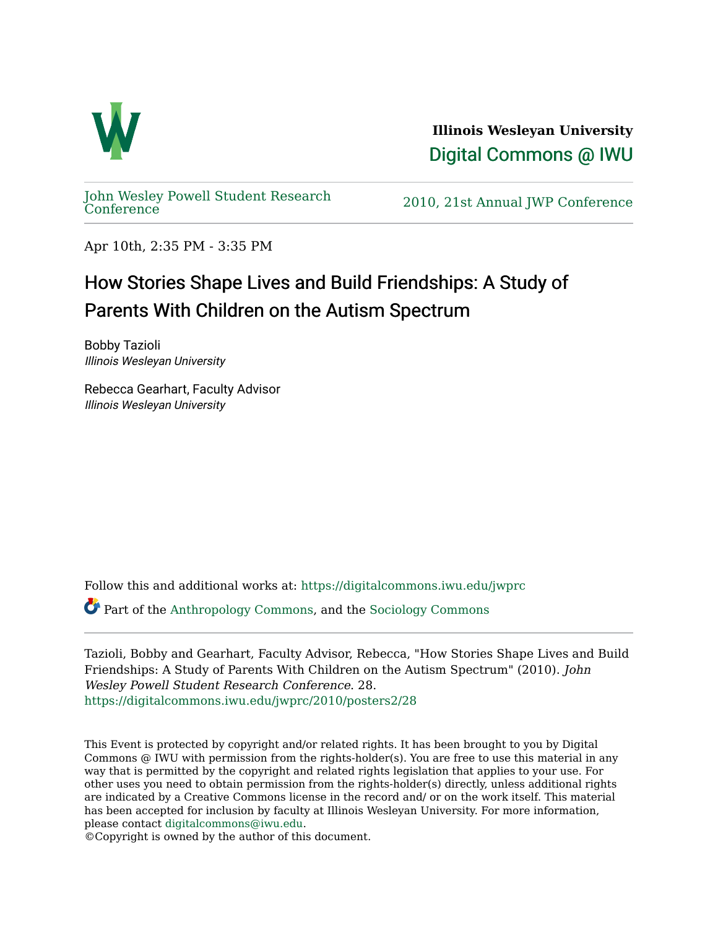

**Illinois Wesleyan University**  [Digital Commons @ IWU](https://digitalcommons.iwu.edu/) 

[John Wesley Powell Student Research](https://digitalcommons.iwu.edu/jwprc) 

2010, 21st Annual JWP [Conference](https://digitalcommons.iwu.edu/jwprc)

Apr 10th, 2:35 PM - 3:35 PM

## How Stories Shape Lives and Build Friendships: A Study of Parents With Children on the Autism Spectrum

Bobby Tazioli Illinois Wesleyan University

Rebecca Gearhart, Faculty Advisor Illinois Wesleyan University

Follow this and additional works at: [https://digitalcommons.iwu.edu/jwprc](https://digitalcommons.iwu.edu/jwprc?utm_source=digitalcommons.iwu.edu%2Fjwprc%2F2010%2Fposters2%2F28&utm_medium=PDF&utm_campaign=PDFCoverPages) 

Part of the [Anthropology Commons](http://network.bepress.com/hgg/discipline/318?utm_source=digitalcommons.iwu.edu%2Fjwprc%2F2010%2Fposters2%2F28&utm_medium=PDF&utm_campaign=PDFCoverPages), and the [Sociology Commons](http://network.bepress.com/hgg/discipline/416?utm_source=digitalcommons.iwu.edu%2Fjwprc%2F2010%2Fposters2%2F28&utm_medium=PDF&utm_campaign=PDFCoverPages) 

Tazioli, Bobby and Gearhart, Faculty Advisor, Rebecca, "How Stories Shape Lives and Build Friendships: A Study of Parents With Children on the Autism Spectrum" (2010). John Wesley Powell Student Research Conference. 28. [https://digitalcommons.iwu.edu/jwprc/2010/posters2/28](https://digitalcommons.iwu.edu/jwprc/2010/posters2/28?utm_source=digitalcommons.iwu.edu%2Fjwprc%2F2010%2Fposters2%2F28&utm_medium=PDF&utm_campaign=PDFCoverPages) 

This Event is protected by copyright and/or related rights. It has been brought to you by Digital Commons @ IWU with permission from the rights-holder(s). You are free to use this material in any way that is permitted by the copyright and related rights legislation that applies to your use. For other uses you need to obtain permission from the rights-holder(s) directly, unless additional rights are indicated by a Creative Commons license in the record and/ or on the work itself. This material has been accepted for inclusion by faculty at Illinois Wesleyan University. For more information, please contact [digitalcommons@iwu.edu.](mailto:digitalcommons@iwu.edu)

©Copyright is owned by the author of this document.